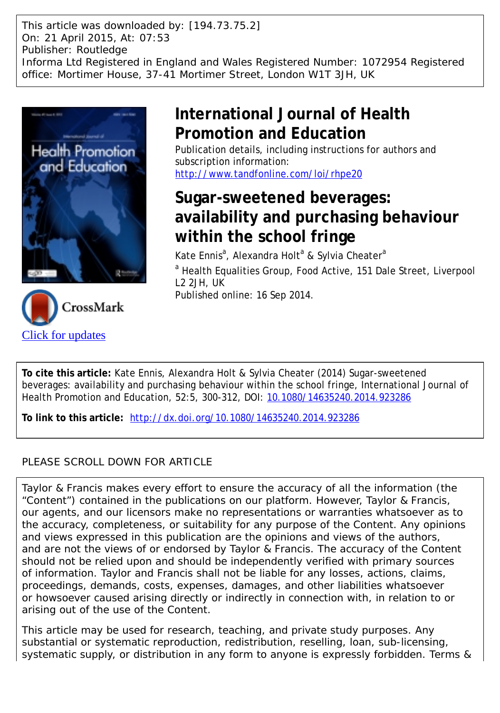This article was downloaded by: [194.73.75.2] On: 21 April 2015, At: 07:53 Publisher: Routledge Informa Ltd Registered in England and Wales Registered Number: 1072954 Registered office: Mortimer House, 37-41 Mortimer Street, London W1T 3JH, UK





# **International Journal of Health Promotion and Education**

Publication details, including instructions for authors and subscription information: <http://www.tandfonline.com/loi/rhpe20>

# **Sugar-sweetened beverages: availability and purchasing behaviour within the school fringe**

Kate Ennis<sup>a</sup>, Alexandra Holt<sup>a</sup> & Sylvia Cheater<sup>a</sup> <sup>a</sup> Health Equalities Group, Food Active, 151 Dale Street, Liverpool L2 2JH, UK Published online: 16 Sep 2014.

**To cite this article:** Kate Ennis, Alexandra Holt & Sylvia Cheater (2014) Sugar-sweetened beverages: availability and purchasing behaviour within the school fringe, International Journal of Health Promotion and Education, 52:5, 300-312, DOI: [10.1080/14635240.2014.923286](http://www.tandfonline.com/action/showCitFormats?doi=10.1080/14635240.2014.923286)

**To link to this article:** <http://dx.doi.org/10.1080/14635240.2014.923286>

# PLEASE SCROLL DOWN FOR ARTICLE

Taylor & Francis makes every effort to ensure the accuracy of all the information (the "Content") contained in the publications on our platform. However, Taylor & Francis, our agents, and our licensors make no representations or warranties whatsoever as to the accuracy, completeness, or suitability for any purpose of the Content. Any opinions and views expressed in this publication are the opinions and views of the authors, and are not the views of or endorsed by Taylor & Francis. The accuracy of the Content should not be relied upon and should be independently verified with primary sources of information. Taylor and Francis shall not be liable for any losses, actions, claims, proceedings, demands, costs, expenses, damages, and other liabilities whatsoever or howsoever caused arising directly or indirectly in connection with, in relation to or arising out of the use of the Content.

This article may be used for research, teaching, and private study purposes. Any substantial or systematic reproduction, redistribution, reselling, loan, sub-licensing, systematic supply, or distribution in any form to anyone is expressly forbidden. Terms &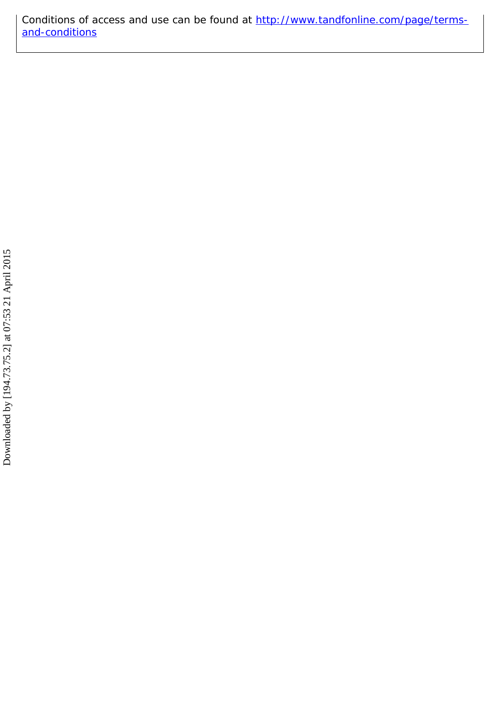Conditions of access and use can be found at [http://www.tandfonline.com/page/terms](http://www.tandfonline.com/page/terms-and-conditions)[and-conditions](http://www.tandfonline.com/page/terms-and-conditions)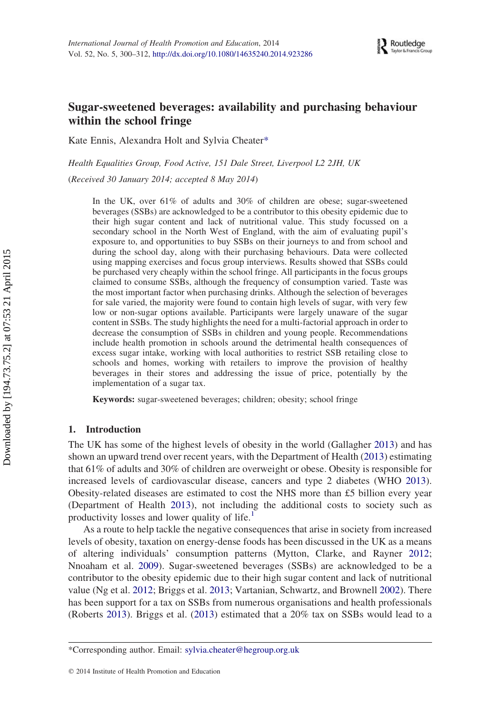# Sugar-sweetened beverages: availability and purchasing behaviour within the school fringe

Kate Ennis, Alexandra Holt and Sylvia Cheater\*

Health Equalities Group, Food Active, 151 Dale Street, Liverpool L2 2JH, UK

(Received 30 January 2014; accepted 8 May 2014)

In the UK, over 61% of adults and 30% of children are obese; sugar-sweetened beverages (SSBs) are acknowledged to be a contributor to this obesity epidemic due to their high sugar content and lack of nutritional value. This study focussed on a secondary school in the North West of England, with the aim of evaluating pupil's exposure to, and opportunities to buy SSBs on their journeys to and from school and during the school day, along with their purchasing behaviours. Data were collected using mapping exercises and focus group interviews. Results showed that SSBs could be purchased very cheaply within the school fringe. All participants in the focus groups claimed to consume SSBs, although the frequency of consumption varied. Taste was the most important factor when purchasing drinks. Although the selection of beverages for sale varied, the majority were found to contain high levels of sugar, with very few low or non-sugar options available. Participants were largely unaware of the sugar content in SSBs. The study highlights the need for a multi-factorial approach in order to decrease the consumption of SSBs in children and young people. Recommendations include health promotion in schools around the detrimental health consequences of excess sugar intake, working with local authorities to restrict SSB retailing close to schools and homes, working with retailers to improve the provision of healthy beverages in their stores and addressing the issue of price, potentially by the implementation of a sugar tax.

Keywords: sugar-sweetened beverages; children; obesity; school fringe

# 1. Introduction

The UK has some of the highest levels of obesity in the world (Gallagher [2013\)](#page-13-0) and has shown an upward trend over recent years, with the Department of Health ([2013\)](#page-13-0) estimating that 61% of adults and 30% of children are overweight or obese. Obesity is responsible for increased levels of cardiovascular disease, cancers and type 2 diabetes (WHO [2013](#page-14-0)). Obesity-related diseases are estimated to cost the NHS more than £5 billion every year (Department of Health [2013](#page-13-0)), not including the additional costs to society such as productivity losses and lower quality of life.<sup>[1](#page-13-0)</sup>

As a route to help tackle the negative consequences that arise in society from increased levels of obesity, taxation on energy-dense foods has been discussed in the UK as a means of altering individuals' consumption patterns (Mytton, Clarke, and Rayner [2012](#page-13-0); Nnoaham et al. [2009](#page-14-0)). Sugar-sweetened beverages (SSBs) are acknowledged to be a contributor to the obesity epidemic due to their high sugar content and lack of nutritional value (Ng et al. [2012;](#page-13-0) Briggs et al. [2013;](#page-13-0) Vartanian, Schwartz, and Brownell [2002](#page-14-0)). There has been support for a tax on SSBs from numerous organisations and health professionals (Roberts [2013](#page-14-0)). Briggs et al. [\(2013](#page-13-0)) estimated that a 20% tax on SSBs would lead to a

<sup>\*</sup>Corresponding author. Email: [sylvia.cheater@hegroup.org.uk](mailto:sylvia.cheater@hegroup.org.uk)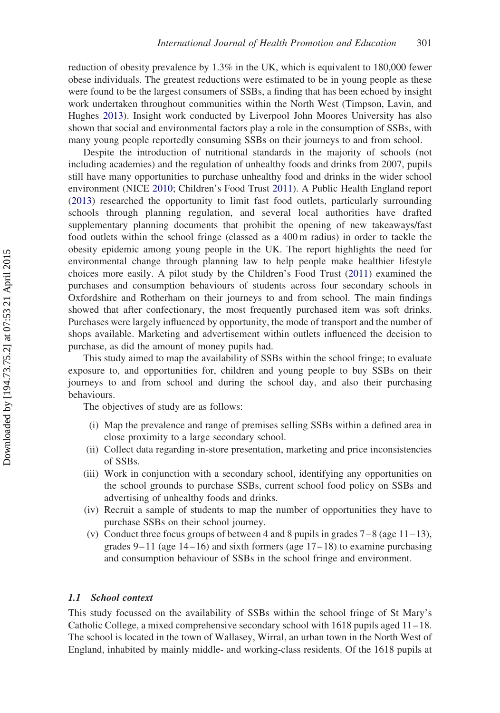reduction of obesity prevalence by 1.3% in the UK, which is equivalent to 180,000 fewer obese individuals. The greatest reductions were estimated to be in young people as these were found to be the largest consumers of SSBs, a finding that has been echoed by insight work undertaken throughout communities within the North West (Timpson, Lavin, and Hughes [2013\)](#page-14-0). Insight work conducted by Liverpool John Moores University has also shown that social and environmental factors play a role in the consumption of SSBs, with many young people reportedly consuming SSBs on their journeys to and from school.

Despite the introduction of nutritional standards in the majority of schools (not including academies) and the regulation of unhealthy foods and drinks from 2007, pupils still have many opportunities to purchase unhealthy food and drinks in the wider school environment (NICE [2010](#page-14-0); Children's Food Trust [2011\)](#page-13-0). A Public Health England report ([2013\)](#page-14-0) researched the opportunity to limit fast food outlets, particularly surrounding schools through planning regulation, and several local authorities have drafted supplementary planning documents that prohibit the opening of new takeaways/fast food outlets within the school fringe (classed as a 400 m radius) in order to tackle the obesity epidemic among young people in the UK. The report highlights the need for environmental change through planning law to help people make healthier lifestyle choices more easily. A pilot study by the Children's Food Trust ([2011\)](#page-13-0) examined the purchases and consumption behaviours of students across four secondary schools in Oxfordshire and Rotherham on their journeys to and from school. The main findings showed that after confectionary, the most frequently purchased item was soft drinks. Purchases were largely influenced by opportunity, the mode of transport and the number of shops available. Marketing and advertisement within outlets influenced the decision to purchase, as did the amount of money pupils had.

This study aimed to map the availability of SSBs within the school fringe; to evaluate exposure to, and opportunities for, children and young people to buy SSBs on their journeys to and from school and during the school day, and also their purchasing behaviours.

The objectives of study are as follows:

- (i) Map the prevalence and range of premises selling SSBs within a defined area in close proximity to a large secondary school.
- (ii) Collect data regarding in-store presentation, marketing and price inconsistencies of SSBs.
- (iii) Work in conjunction with a secondary school, identifying any opportunities on the school grounds to purchase SSBs, current school food policy on SSBs and advertising of unhealthy foods and drinks.
- (iv) Recruit a sample of students to map the number of opportunities they have to purchase SSBs on their school journey.
- (v) Conduct three focus groups of between 4 and 8 pupils in grades  $7-8$  (age  $11-13$ ), grades  $9-11$  (age  $14-16$ ) and sixth formers (age  $17-18$ ) to examine purchasing and consumption behaviour of SSBs in the school fringe and environment.

#### 1.1 School context

This study focussed on the availability of SSBs within the school fringe of St Mary's Catholic College, a mixed comprehensive secondary school with  $1618$  pupils aged  $11-18$ . The school is located in the town of Wallasey, Wirral, an urban town in the North West of England, inhabited by mainly middle- and working-class residents. Of the 1618 pupils at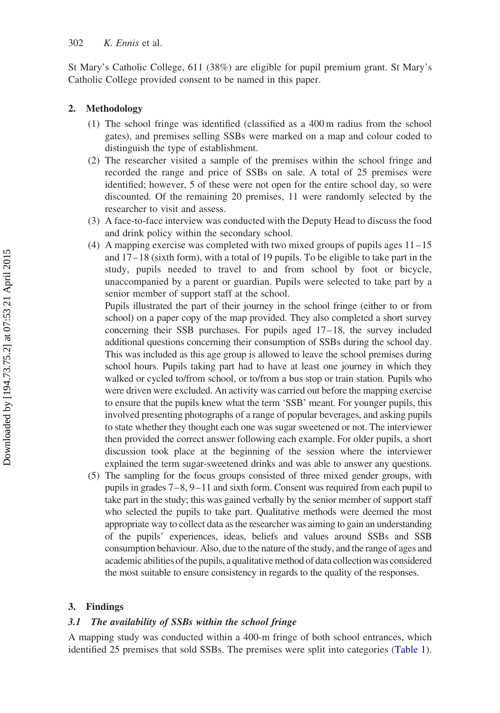St Mary's Catholic College, 611 (38%) are eligible for pupil premium grant. St Mary's Catholic College provided consent to be named in this paper.

# 2. Methodology

- (1) The school fringe was identified (classified as a 400 m radius from the school gates), and premises selling SSBs were marked on a map and colour coded to distinguish the type of establishment.
- (2) The researcher visited a sample of the premises within the school fringe and recorded the range and price of SSBs on sale. A total of 25 premises were identified; however, 5 of these were not open for the entire school day, so were discounted. Of the remaining 20 premises, 11 were randomly selected by the researcher to visit and assess.
- (3) A face-to-face interview was conducted with the Deputy Head to discuss the food and drink policy within the secondary school.
- (4) A mapping exercise was completed with two mixed groups of pupils ages  $11 15$ and 17– 18 (sixth form), with a total of 19 pupils. To be eligible to take part in the study, pupils needed to travel to and from school by foot or bicycle, unaccompanied by a parent or guardian. Pupils were selected to take part by a senior member of support staff at the school.

Pupils illustrated the part of their journey in the school fringe (either to or from school) on a paper copy of the map provided. They also completed a short survey concerning their SSB purchases. For pupils aged 17–18, the survey included additional questions concerning their consumption of SSBs during the school day. This was included as this age group is allowed to leave the school premises during school hours. Pupils taking part had to have at least one journey in which they walked or cycled to/from school, or to/from a bus stop or train station. Pupils who were driven were excluded. An activity was carried out before the mapping exercise to ensure that the pupils knew what the term 'SSB' meant. For younger pupils, this involved presenting photographs of a range of popular beverages, and asking pupils to state whether they thought each one was sugar sweetened or not. The interviewer then provided the correct answer following each example. For older pupils, a short discussion took place at the beginning of the session where the interviewer explained the term sugar-sweetened drinks and was able to answer any questions.

(5) The sampling for the focus groups consisted of three mixed gender groups, with pupils in grades 7–8, 9–11 and sixth form. Consent was required from each pupil to take part in the study; this was gained verbally by the senior member of support staff who selected the pupils to take part. Qualitative methods were deemed the most appropriate way to collect data as the researcher was aiming to gain an understanding of the pupils' experiences, ideas, beliefs and values around SSBs and SSB consumption behaviour. Also, due to the nature of the study, and the range of ages and academic abilities ofthe pupils, a qualitative method of data collection was considered the most suitable to ensure consistency in regards to the quality of the responses.

# 3. Findings

## 3.1 The availability of SSBs within the school fringe

A mapping study was conducted within a 400-m fringe of both school entrances, which identified 25 premises that sold SSBs. The premises were split into categories [\(Table 1](#page-5-0)).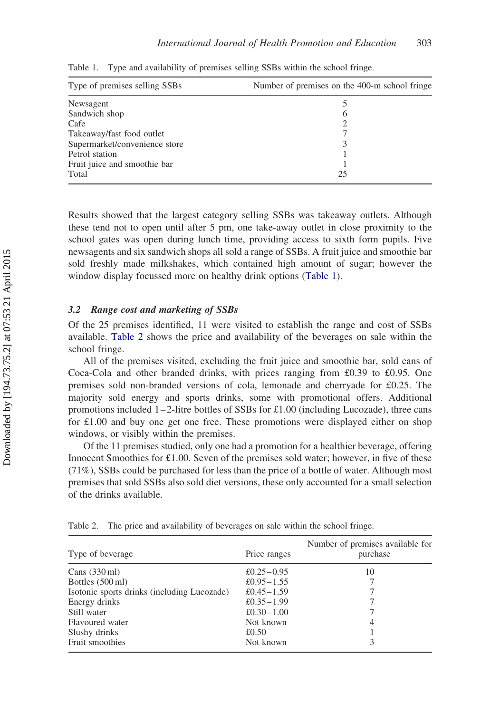| Type of premises selling SSBs | Number of premises on the 400-m school fringe |
|-------------------------------|-----------------------------------------------|
| Newsagent                     |                                               |
| Sandwich shop                 | <sub>b</sub>                                  |
| Cafe                          |                                               |
| Takeaway/fast food outlet     |                                               |
| Supermarket/convenience store |                                               |
| Petrol station                |                                               |
| Fruit juice and smoothie bar  |                                               |
| Total                         | 25                                            |

<span id="page-5-0"></span>Table 1. Type and availability of premises selling SSBs within the school fringe.

Results showed that the largest category selling SSBs was takeaway outlets. Although these tend not to open until after 5 pm, one take-away outlet in close proximity to the school gates was open during lunch time, providing access to sixth form pupils. Five newsagents and six sandwich shops all sold a range of SSBs. A fruit juice and smoothie bar sold freshly made milkshakes, which contained high amount of sugar; however the window display focussed more on healthy drink options (Table 1).

#### 3.2 Range cost and marketing of SSBs

Of the 25 premises identified, 11 were visited to establish the range and cost of SSBs available. Table 2 shows the price and availability of the beverages on sale within the school fringe.

All of the premises visited, excluding the fruit juice and smoothie bar, sold cans of Coca-Cola and other branded drinks, with prices ranging from £0.39 to £0.95. One premises sold non-branded versions of cola, lemonade and cherryade for £0.25. The majority sold energy and sports drinks, some with promotional offers. Additional promotions included  $1-2$ -litre bottles of SSBs for £1.00 (including Lucozade), three cans for £1.00 and buy one get one free. These promotions were displayed either on shop windows, or visibly within the premises.

Of the 11 premises studied, only one had a promotion for a healthier beverage, offering Innocent Smoothies for £1.00. Seven of the premises sold water; however, in five of these (71%), SSBs could be purchased for less than the price of a bottle of water. Although most premises that sold SSBs also sold diet versions, these only accounted for a small selection of the drinks available.

| Type of beverage                            | Price ranges  | Number of premises available for<br>purchase |
|---------------------------------------------|---------------|----------------------------------------------|
| Cans $(330 \text{ ml})$                     | £0.25 $-0.95$ | 10                                           |
| Bottles (500 ml)                            | £0.95 – 1.55  |                                              |
| Isotonic sports drinks (including Lucozade) | £0.45 – 1.59  |                                              |
| Energy drinks                               | £0.35 – 1.99  |                                              |
| Still water                                 | £0.30 $-1.00$ |                                              |
| Flavoured water                             | Not known     | 4                                            |
| Slushy drinks                               | £0.50         |                                              |
| Fruit smoothies                             | Not known     |                                              |
|                                             |               |                                              |

Table 2. The price and availability of beverages on sale within the school fringe.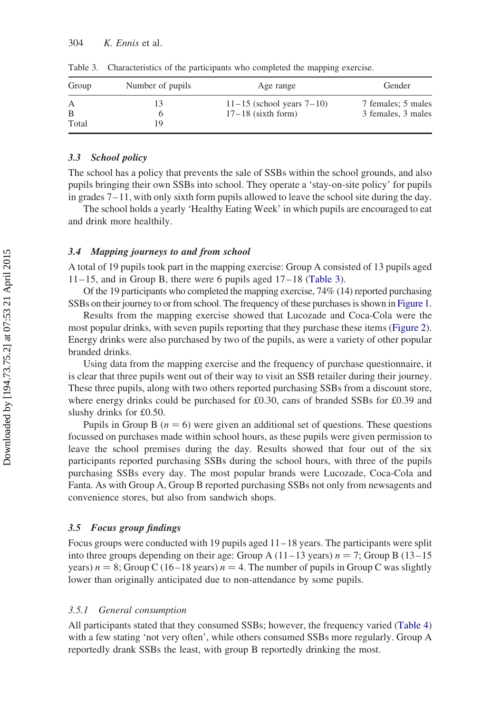| Group | Number of pupils | Age range                          | Gender             |
|-------|------------------|------------------------------------|--------------------|
| A     |                  | $11 - 15$ (school years $7 - 10$ ) | 7 females; 5 males |
| B     |                  | $17-18$ (sixth form)               | 3 females, 3 males |
| Total | 1 Q              |                                    |                    |

Table 3. Characteristics of the participants who completed the mapping exercise.

#### 3.3 School policy

The school has a policy that prevents the sale of SSBs within the school grounds, and also pupils bringing their own SSBs into school. They operate a 'stay-on-site policy' for pupils in grades 7– 11, with only sixth form pupils allowed to leave the school site during the day.

The school holds a yearly 'Healthy Eating Week' in which pupils are encouraged to eat and drink more healthily.

# 3.4 Mapping journeys to and from school

A total of 19 pupils took part in the mapping exercise: Group A consisted of 13 pupils aged  $11 - 15$ , and in Group B, there were 6 pupils aged  $17 - 18$  (Table 3).

Of the 19 participants who completed the mapping exercise,  $74\%$  (14) reported purchasing SSBs on their journey to or from school. The frequency of these purchases is shown in [Figure 1](#page-7-0).

Results from the mapping exercise showed that Lucozade and Coca-Cola were the most popular drinks, with seven pupils reporting that they purchase these items ([Figure 2](#page-7-0)). Energy drinks were also purchased by two of the pupils, as were a variety of other popular branded drinks.

Using data from the mapping exercise and the frequency of purchase questionnaire, it is clear that three pupils went out of their way to visit an SSB retailer during their journey. These three pupils, along with two others reported purchasing SSBs from a discount store, where energy drinks could be purchased for £0.30, cans of branded SSBs for £0.39 and slushy drinks for £0.50.

Pupils in Group B ( $n = 6$ ) were given an additional set of questions. These questions focussed on purchases made within school hours, as these pupils were given permission to leave the school premises during the day. Results showed that four out of the six participants reported purchasing SSBs during the school hours, with three of the pupils purchasing SSBs every day. The most popular brands were Lucozade, Coca-Cola and Fanta. As with Group A, Group B reported purchasing SSBs not only from newsagents and convenience stores, but also from sandwich shops.

#### 3.5 Focus group findings

Focus groups were conducted with 19 pupils aged 11 –18 years. The participants were split into three groups depending on their age: Group A (11–13 years)  $n = 7$ ; Group B (13–15) years)  $n = 8$ ; Group C (16–18 years)  $n = 4$ . The number of pupils in Group C was slightly lower than originally anticipated due to non-attendance by some pupils.

#### 3.5.1 General consumption

All participants stated that they consumed SSBs; however, the frequency varied [\(Table 4\)](#page-8-0) with a few stating 'not very often', while others consumed SSBs more regularly. Group A reportedly drank SSBs the least, with group B reportedly drinking the most.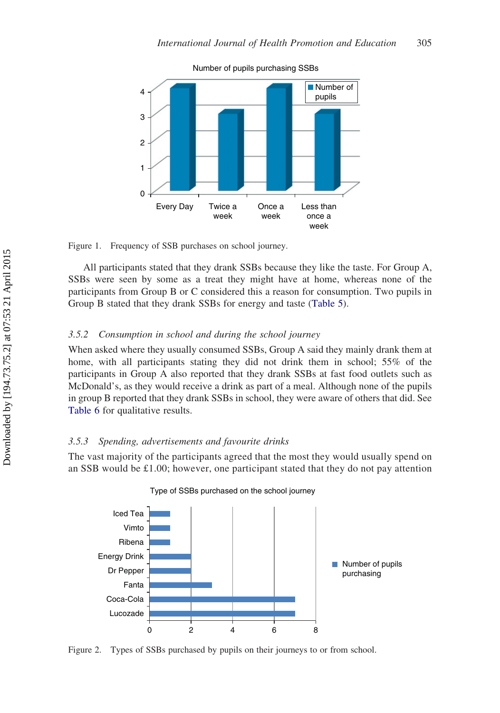<span id="page-7-0"></span>

Number of pupils purchasing SSBs

Figure 1. Frequency of SSB purchases on school journey.

All participants stated that they drank SSBs because they like the taste. For Group A, SSBs were seen by some as a treat they might have at home, whereas none of the participants from Group B or C considered this a reason for consumption. Two pupils in Group B stated that they drank SSBs for energy and taste [\(Table 5](#page-8-0)).

#### 3.5.2 Consumption in school and during the school journey

When asked where they usually consumed SSBs, Group A said they mainly drank them at home, with all participants stating they did not drink them in school; 55% of the participants in Group A also reported that they drank SSBs at fast food outlets such as McDonald's, as they would receive a drink as part of a meal. Although none of the pupils in group B reported that they drank SSBs in school, they were aware of others that did. See [Table 6](#page-9-0) for qualitative results.

## 3.5.3 Spending, advertisements and favourite drinks

The vast majority of the participants agreed that the most they would usually spend on an SSB would be  $\pounds1.00$ ; however, one participant stated that they do not pay attention



Type of SSBs purchased on the school journey

Figure 2. Types of SSBs purchased by pupils on their journeys to or from school.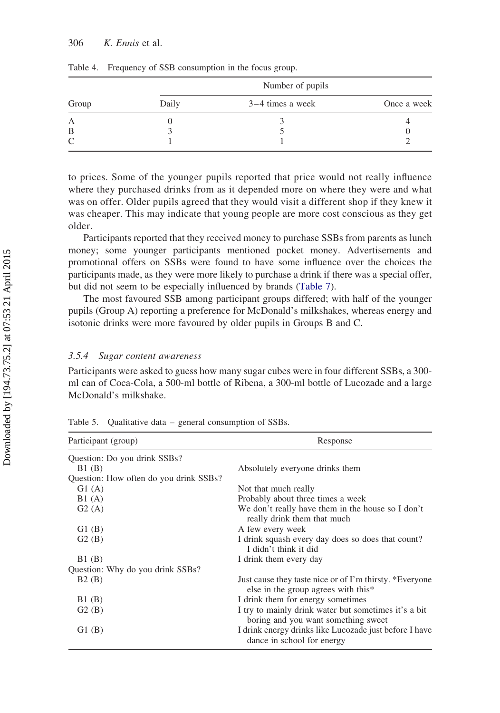| Group | Number of pupils |                    |             |
|-------|------------------|--------------------|-------------|
|       | Daily            | $3-4$ times a week | Once a week |
| A     |                  |                    |             |
| B     |                  |                    |             |
|       |                  |                    |             |

<span id="page-8-0"></span>Table 4. Frequency of SSB consumption in the focus group.

to prices. Some of the younger pupils reported that price would not really influence where they purchased drinks from as it depended more on where they were and what was on offer. Older pupils agreed that they would visit a different shop if they knew it was cheaper. This may indicate that young people are more cost conscious as they get older.

Participants reported that they received money to purchase SSBs from parents as lunch money; some younger participants mentioned pocket money. Advertisements and promotional offers on SSBs were found to have some influence over the choices the participants made, as they were more likely to purchase a drink if there was a special offer, but did not seem to be especially influenced by brands [\(Table 7\)](#page-10-0).

The most favoured SSB among participant groups differed; with half of the younger pupils (Group A) reporting a preference for McDonald's milkshakes, whereas energy and isotonic drinks were more favoured by older pupils in Groups B and C.

# 3.5.4 Sugar content awareness

Participants were asked to guess how many sugar cubes were in four different SSBs, a 300 ml can of Coca-Cola, a 500-ml bottle of Ribena, a 300-ml bottle of Lucozade and a large McDonald's milkshake.

| Participant (group)                    | Response                                                                                       |
|----------------------------------------|------------------------------------------------------------------------------------------------|
| Question: Do you drink SSBs?           |                                                                                                |
| B1(B)                                  | Absolutely everyone drinks them                                                                |
| Question: How often do you drink SSBs? |                                                                                                |
| G1(A)                                  | Not that much really                                                                           |
| B1(A)                                  | Probably about three times a week                                                              |
| G2(A)                                  | We don't really have them in the house so I don't<br>really drink them that much               |
| G1(B)                                  | A few every week                                                                               |
| G2(B)                                  | I drink squash every day does so does that count?<br>I didn't think it did                     |
| B1(B)                                  | I drink them every day                                                                         |
| Question: Why do you drink SSBs?       |                                                                                                |
| B2(B)                                  | Just cause they taste nice or of I'm thirsty. *Everyone<br>else in the group agrees with this* |
| B1(B)                                  | I drink them for energy sometimes                                                              |
| G2(B)                                  | I try to mainly drink water but sometimes it's a bit<br>boring and you want something sweet    |
| GI(B)                                  | I drink energy drinks like Lucozade just before I have<br>dance in school for energy           |

Table 5. Qualitative data – general consumption of SSBs.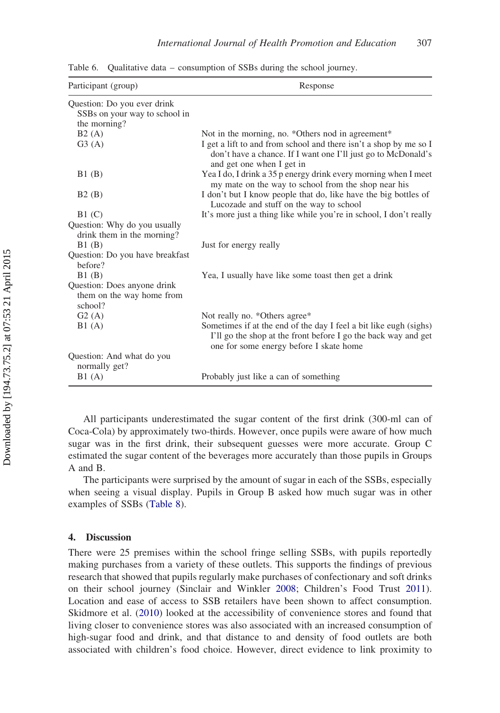| Participant (group)                                                 | Response                                                                                                                                                                       |
|---------------------------------------------------------------------|--------------------------------------------------------------------------------------------------------------------------------------------------------------------------------|
| Question: Do you ever drink                                         |                                                                                                                                                                                |
| SSBs on your way to school in                                       |                                                                                                                                                                                |
| the morning?                                                        |                                                                                                                                                                                |
| B2(A)                                                               | Not in the morning, no. *Others nod in agreement*                                                                                                                              |
| G3(A)                                                               | I get a lift to and from school and there isn't a shop by me so I<br>don't have a chance. If I want one I'll just go to McDonald's<br>and get one when I get in                |
| B1(B)                                                               | Yea I do, I drink a 35 p energy drink every morning when I meet<br>my mate on the way to school from the shop near his                                                         |
| B2(B)                                                               | I don't but I know people that do, like have the big bottles of<br>Lucozade and stuff on the way to school                                                                     |
| B1(C)                                                               | It's more just a thing like while you're in school, I don't really                                                                                                             |
| Question: Why do you usually                                        |                                                                                                                                                                                |
| drink them in the morning?                                          |                                                                                                                                                                                |
| B1(B)                                                               | Just for energy really                                                                                                                                                         |
| Question: Do you have breakfast<br>before?                          |                                                                                                                                                                                |
| B1(B)                                                               | Yea, I usually have like some toast then get a drink                                                                                                                           |
| Question: Does anyone drink<br>them on the way home from<br>school? |                                                                                                                                                                                |
| G2(A)                                                               | Not really no. *Others agree*                                                                                                                                                  |
| B1(A)                                                               | Sometimes if at the end of the day I feel a bit like eugh (sighs)<br>I'll go the shop at the front before I go the back way and get<br>one for some energy before I skate home |
| Question: And what do you<br>normally get?                          |                                                                                                                                                                                |
| B1(A)                                                               | Probably just like a can of something                                                                                                                                          |

<span id="page-9-0"></span>Table 6. Qualitative data – consumption of SSBs during the school journey.

All participants underestimated the sugar content of the first drink (300-ml can of Coca-Cola) by approximately two-thirds. However, once pupils were aware of how much sugar was in the first drink, their subsequent guesses were more accurate. Group C estimated the sugar content of the beverages more accurately than those pupils in Groups A and B.

The participants were surprised by the amount of sugar in each of the SSBs, especially when seeing a visual display. Pupils in Group B asked how much sugar was in other examples of SSBs [\(Table 8](#page-11-0)).

### 4. Discussion

There were 25 premises within the school fringe selling SSBs, with pupils reportedly making purchases from a variety of these outlets. This supports the findings of previous research that showed that pupils regularly make purchases of confectionary and soft drinks on their school journey (Sinclair and Winkler [2008;](#page-14-0) Children's Food Trust [2011](#page-13-0)). Location and ease of access to SSB retailers have been shown to affect consumption. Skidmore et al. ([2010\)](#page-14-0) looked at the accessibility of convenience stores and found that living closer to convenience stores was also associated with an increased consumption of high-sugar food and drink, and that distance to and density of food outlets are both associated with children's food choice. However, direct evidence to link proximity to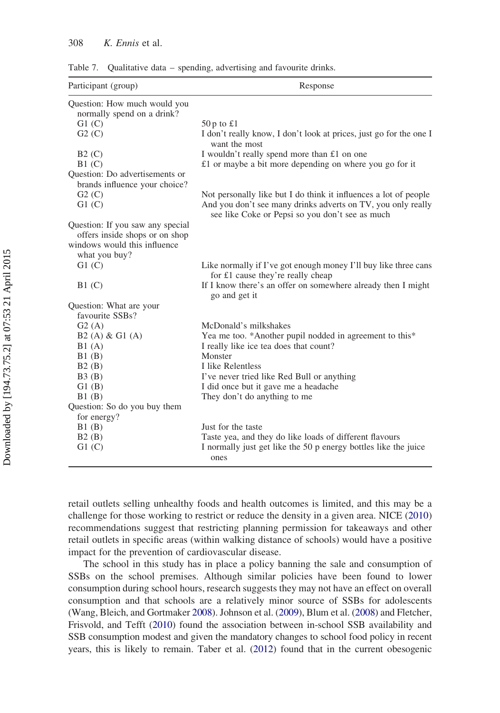| Participant (group)                                                | Response                                                                                                        |
|--------------------------------------------------------------------|-----------------------------------------------------------------------------------------------------------------|
| Question: How much would you<br>normally spend on a drink?         |                                                                                                                 |
| G1(C)                                                              | $50 p$ to £1                                                                                                    |
| G2(C)                                                              | I don't really know, I don't look at prices, just go for the one I<br>want the most                             |
| B2(C)                                                              | I wouldn't really spend more than £1 on one                                                                     |
| B1(C)                                                              | £1 or maybe a bit more depending on where you go for it                                                         |
| Question: Do advertisements or                                     |                                                                                                                 |
| brands influence your choice?                                      |                                                                                                                 |
| G2(C)                                                              | Not personally like but I do think it influences a lot of people                                                |
| G1(C)                                                              | And you don't see many drinks adverts on TV, you only really<br>see like Coke or Pepsi so you don't see as much |
| Question: If you saw any special<br>offers inside shops or on shop |                                                                                                                 |
| windows would this influence                                       |                                                                                                                 |
| what you buy?                                                      |                                                                                                                 |
| G1(C)                                                              | Like normally if I've got enough money I'll buy like three cans<br>for £1 cause they're really cheap            |
| B1(C)                                                              | If I know there's an offer on somewhere already then I might<br>go and get it                                   |
| Question: What are your                                            |                                                                                                                 |
| favourite SSBs?                                                    |                                                                                                                 |
| G2(A)                                                              | McDonald's milkshakes                                                                                           |
| $B2(A) \& G1(A)$                                                   | Yea me too. *Another pupil nodded in agreement to this*                                                         |
| B1(A)                                                              | I really like ice tea does that count?                                                                          |
| B1(B)                                                              | Monster                                                                                                         |
| B2(B)                                                              | <b>I</b> like Relentless                                                                                        |
| B3(B)                                                              | I've never tried like Red Bull or anything                                                                      |
| G1(B)                                                              | I did once but it gave me a headache                                                                            |
| B1(B)                                                              | They don't do anything to me                                                                                    |
| Question: So do you buy them                                       |                                                                                                                 |
| for energy?                                                        |                                                                                                                 |
| B1(B)                                                              | Just for the taste                                                                                              |
| B2(B)                                                              | Taste yea, and they do like loads of different flavours                                                         |
| G1(C)                                                              | I normally just get like the 50 p energy bottles like the juice<br>ones                                         |

<span id="page-10-0"></span>Table 7. Qualitative data – spending, advertising and favourite drinks.

retail outlets selling unhealthy foods and health outcomes is limited, and this may be a challenge for those working to restrict or reduce the density in a given area. NICE ([2010\)](#page-14-0) recommendations suggest that restricting planning permission for takeaways and other retail outlets in specific areas (within walking distance of schools) would have a positive impact for the prevention of cardiovascular disease.

The school in this study has in place a policy banning the sale and consumption of SSBs on the school premises. Although similar policies have been found to lower consumption during school hours, research suggests they may not have an effect on overall consumption and that schools are a relatively minor source of SSBs for adolescents (Wang, Bleich, and Gortmaker [2008](#page-14-0)). Johnson et al. ([2009](#page-13-0)), Blum et al. [\(2008\)](#page-13-0) and Fletcher, Frisvold, and Tefft [\(2010\)](#page-13-0) found the association between in-school SSB availability and SSB consumption modest and given the mandatory changes to school food policy in recent years, this is likely to remain. Taber et al. ([2012](#page-14-0)) found that in the current obesogenic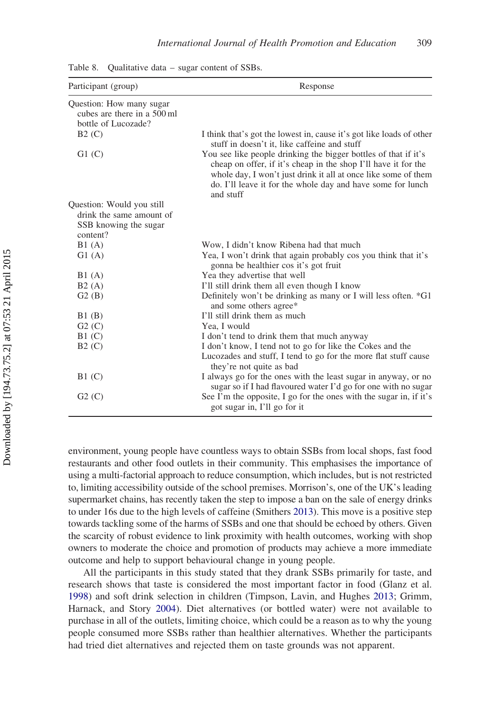| Participant (group)                                     | Response                                                                                                                                                                                                                                                                        |
|---------------------------------------------------------|---------------------------------------------------------------------------------------------------------------------------------------------------------------------------------------------------------------------------------------------------------------------------------|
| Question: How many sugar<br>cubes are there in a 500 ml |                                                                                                                                                                                                                                                                                 |
| bottle of Lucozade?                                     |                                                                                                                                                                                                                                                                                 |
| B2(C)                                                   | I think that's got the lowest in, cause it's got like loads of other                                                                                                                                                                                                            |
|                                                         | stuff in doesn't it, like caffeine and stuff                                                                                                                                                                                                                                    |
| G1(C)                                                   | You see like people drinking the bigger bottles of that if it's<br>cheap on offer, if it's cheap in the shop I'll have it for the<br>whole day, I won't just drink it all at once like some of them<br>do. I'll leave it for the whole day and have some for lunch<br>and stuff |
| Question: Would you still                               |                                                                                                                                                                                                                                                                                 |
| drink the same amount of                                |                                                                                                                                                                                                                                                                                 |
| SSB knowing the sugar                                   |                                                                                                                                                                                                                                                                                 |
| content?                                                |                                                                                                                                                                                                                                                                                 |
| B1(A)                                                   | Wow, I didn't know Ribena had that much                                                                                                                                                                                                                                         |
| G1(A)                                                   | Yea, I won't drink that again probably cos you think that it's<br>gonna be healthier cos it's got fruit                                                                                                                                                                         |
| B1(A)                                                   | Yea they advertise that well                                                                                                                                                                                                                                                    |
| B2(A)                                                   | I'll still drink them all even though I know                                                                                                                                                                                                                                    |
| G2(B)                                                   | Definitely won't be drinking as many or I will less often. *G1<br>and some others agree*                                                                                                                                                                                        |
| B1(B)                                                   | I'll still drink them as much                                                                                                                                                                                                                                                   |
| G2(C)                                                   | Yea, I would                                                                                                                                                                                                                                                                    |
| B1(C)                                                   | I don't tend to drink them that much anyway                                                                                                                                                                                                                                     |
| B2(C)                                                   | I don't know, I tend not to go for like the Cokes and the                                                                                                                                                                                                                       |
|                                                         | Lucozades and stuff, I tend to go for the more flat stuff cause<br>they're not quite as bad                                                                                                                                                                                     |
| B1(C)                                                   | I always go for the ones with the least sugar in anyway, or no<br>sugar so if I had flavoured water I'd go for one with no sugar                                                                                                                                                |
| G2(C)                                                   | See I'm the opposite, I go for the ones with the sugar in, if it's<br>got sugar in, I'll go for it                                                                                                                                                                              |

<span id="page-11-0"></span>Table 8. Qualitative data – sugar content of SSBs.

environment, young people have countless ways to obtain SSBs from local shops, fast food restaurants and other food outlets in their community. This emphasises the importance of using a multi-factorial approach to reduce consumption, which includes, but is not restricted to, limiting accessibility outside of the school premises. Morrison's, one of the UK's leading supermarket chains, has recently taken the step to impose a ban on the sale of energy drinks to under 16s due to the high levels of caffeine (Smithers [2013\)](#page-14-0). This move is a positive step towards tackling some of the harms of SSBs and one that should be echoed by others. Given the scarcity of robust evidence to link proximity with health outcomes, working with shop owners to moderate the choice and promotion of products may achieve a more immediate outcome and help to support behavioural change in young people.

All the participants in this study stated that they drank SSBs primarily for taste, and research shows that taste is considered the most important factor in food (Glanz et al. [1998](#page-13-0)) and soft drink selection in children (Timpson, Lavin, and Hughes [2013](#page-14-0); Grimm, Harnack, and Story [2004\)](#page-13-0). Diet alternatives (or bottled water) were not available to purchase in all of the outlets, limiting choice, which could be a reason as to why the young people consumed more SSBs rather than healthier alternatives. Whether the participants had tried diet alternatives and rejected them on taste grounds was not apparent.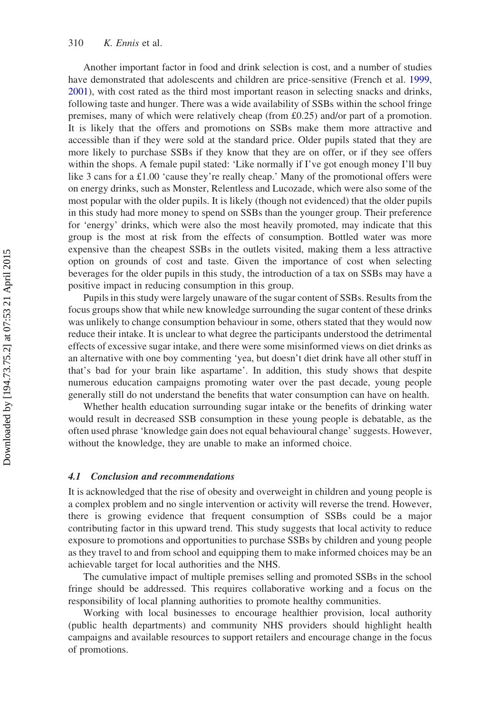Another important factor in food and drink selection is cost, and a number of studies have demonstrated that adolescents and children are price-sensitive (French et al. [1999](#page-13-0), [2001](#page-13-0)), with cost rated as the third most important reason in selecting snacks and drinks, following taste and hunger. There was a wide availability of SSBs within the school fringe premises, many of which were relatively cheap (from £0.25) and/or part of a promotion. It is likely that the offers and promotions on SSBs make them more attractive and accessible than if they were sold at the standard price. Older pupils stated that they are more likely to purchase SSBs if they know that they are on offer, or if they see offers within the shops. A female pupil stated: 'Like normally if I've got enough money I'll buy like 3 cans for a £1.00 'cause they're really cheap.' Many of the promotional offers were on energy drinks, such as Monster, Relentless and Lucozade, which were also some of the most popular with the older pupils. It is likely (though not evidenced) that the older pupils in this study had more money to spend on SSBs than the younger group. Their preference for 'energy' drinks, which were also the most heavily promoted, may indicate that this group is the most at risk from the effects of consumption. Bottled water was more expensive than the cheapest SSBs in the outlets visited, making them a less attractive option on grounds of cost and taste. Given the importance of cost when selecting beverages for the older pupils in this study, the introduction of a tax on SSBs may have a positive impact in reducing consumption in this group.

Pupils in this study were largely unaware of the sugar content of SSBs. Results from the focus groups show that while new knowledge surrounding the sugar content of these drinks was unlikely to change consumption behaviour in some, others stated that they would now reduce their intake. It is unclear to what degree the participants understood the detrimental effects of excessive sugar intake, and there were some misinformed views on diet drinks as an alternative with one boy commenting 'yea, but doesn't diet drink have all other stuff in that's bad for your brain like aspartame'. In addition, this study shows that despite numerous education campaigns promoting water over the past decade, young people generally still do not understand the benefits that water consumption can have on health.

Whether health education surrounding sugar intake or the benefits of drinking water would result in decreased SSB consumption in these young people is debatable, as the often used phrase 'knowledge gain does not equal behavioural change' suggests. However, without the knowledge, they are unable to make an informed choice.

#### 4.1 Conclusion and recommendations

It is acknowledged that the rise of obesity and overweight in children and young people is a complex problem and no single intervention or activity will reverse the trend. However, there is growing evidence that frequent consumption of SSBs could be a major contributing factor in this upward trend. This study suggests that local activity to reduce exposure to promotions and opportunities to purchase SSBs by children and young people as they travel to and from school and equipping them to make informed choices may be an achievable target for local authorities and the NHS.

The cumulative impact of multiple premises selling and promoted SSBs in the school fringe should be addressed. This requires collaborative working and a focus on the responsibility of local planning authorities to promote healthy communities.

Working with local businesses to encourage healthier provision, local authority (public health departments) and community NHS providers should highlight health campaigns and available resources to support retailers and encourage change in the focus of promotions.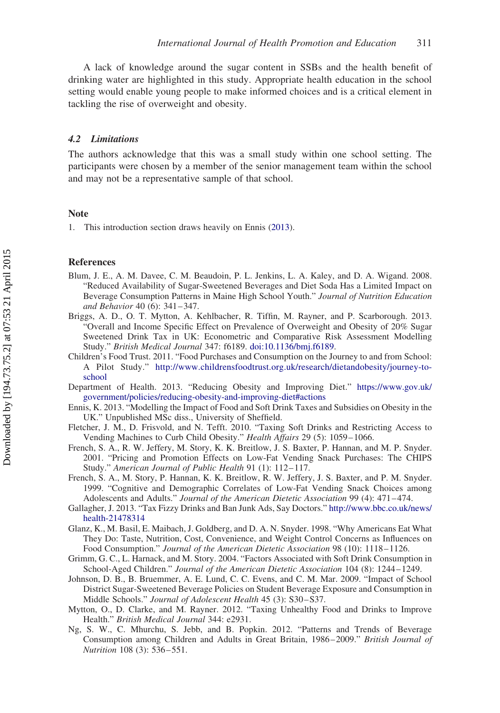<span id="page-13-0"></span>A lack of knowledge around the sugar content in SSBs and the health benefit of drinking water are highlighted in this study. Appropriate health education in the school setting would enable young people to make informed choices and is a critical element in tackling the rise of overweight and obesity.

# 4.2 Limitations

The authors acknowledge that this was a small study within one school setting. The participants were chosen by a member of the senior management team within the school and may not be a representative sample of that school.

#### Note

This introduction section draws heavily on Ennis (2013).

#### References

- Blum, J. E., A. M. Davee, C. M. Beaudoin, P. L. Jenkins, L. A. Kaley, and D. A. Wigand. 2008. "Reduced Availability of Sugar-Sweetened Beverages and Diet Soda Has a Limited Impact on Beverage Consumption Patterns in Maine High School Youth." Journal of Nutrition Education and Behavior 40 (6): 341–347.
- Briggs, A. D., O. T. Mytton, A. Kehlbacher, R. Tiffin, M. Rayner, and P. Scarborough. 2013. "Overall and Income Specific Effect on Prevalence of Overweight and Obesity of 20% Sugar Sweetened Drink Tax in UK: Econometric and Comparative Risk Assessment Modelling Study." British Medical Journal 347: f6189. [doi:10.1136/bmj.f6189](http://dx.doi.org/doi:10.1136/bmj.f6189).
- Children's Food Trust. 2011. "Food Purchases and Consumption on the Journey to and from School: A Pilot Study." [http://www.childrensfoodtrust.org.uk/research/dietandobesity/journey-to](http://www.childrensfoodtrust.org.uk/research/dietandobesity/journey-to-school)[school](http://www.childrensfoodtrust.org.uk/research/dietandobesity/journey-to-school)
- Department of Health. 2013. "Reducing Obesity and Improving Diet." [https://www.gov.uk/](https://www.gov.uk/government/policies/reducing-obesity-and-improving-diet#actions) [government/policies/reducing-obesity-and-improving-diet#actions](https://www.gov.uk/government/policies/reducing-obesity-and-improving-diet#actions)
- Ennis, K. 2013. "Modelling the Impact of Food and Soft Drink Taxes and Subsidies on Obesity in the UK." Unpublished MSc diss., University of Sheffield.
- Fletcher, J. M., D. Frisvold, and N. Tefft. 2010. "Taxing Soft Drinks and Restricting Access to Vending Machines to Curb Child Obesity." Health Affairs 29 (5): 1059– 1066.
- French, S. A., R. W. Jeffery, M. Story, K. K. Breitlow, J. S. Baxter, P. Hannan, and M. P. Snyder. 2001. "Pricing and Promotion Effects on Low-Fat Vending Snack Purchases: The CHIPS Study." American Journal of Public Health 91 (1): 112-117.
- French, S. A., M. Story, P. Hannan, K. K. Breitlow, R. W. Jeffery, J. S. Baxter, and P. M. Snyder. 1999. "Cognitive and Demographic Correlates of Low-Fat Vending Snack Choices among Adolescents and Adults." Journal of the American Dietetic Association 99 (4): 471-474.
- Gallagher, J. 2013. "Tax Fizzy Drinks and Ban Junk Ads, Say Doctors." [http://www.bbc.co.uk/news/](http://www.bbc.co.uk/news/health-21478314) [health-21478314](http://www.bbc.co.uk/news/health-21478314)
- Glanz, K., M. Basil, E. Maibach, J. Goldberg, and D. A. N. Snyder. 1998. "Why Americans Eat What They Do: Taste, Nutrition, Cost, Convenience, and Weight Control Concerns as Influences on Food Consumption." Journal of the American Dietetic Association 98 (10): 1118–1126.
- Grimm, G. C., L. Harnack, and M. Story. 2004. "Factors Associated with Soft Drink Consumption in School-Aged Children." Journal of the American Dietetic Association 104 (8): 1244– 1249.
- Johnson, D. B., B. Bruemmer, A. E. Lund, C. C. Evens, and C. M. Mar. 2009. "Impact of School District Sugar-Sweetened Beverage Policies on Student Beverage Exposure and Consumption in Middle Schools." Journal of Adolescent Health 45 (3): S30–S37.
- Mytton, O., D. Clarke, and M. Rayner. 2012. "Taxing Unhealthy Food and Drinks to Improve Health." British Medical Journal 344: e2931.
- Ng, S. W., C. Mhurchu, S. Jebb, and B. Popkin. 2012. "Patterns and Trends of Beverage Consumption among Children and Adults in Great Britain, 1986–2009." British Journal of Nutrition 108 (3): 536-551.